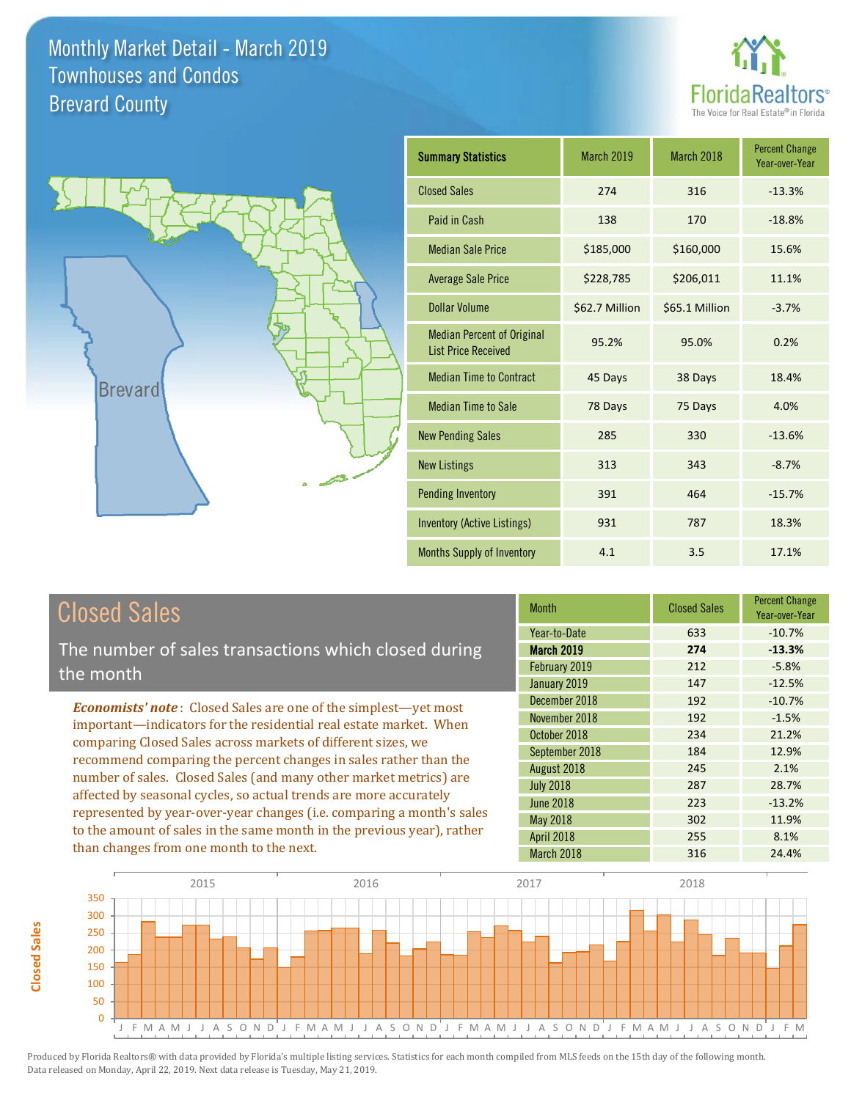



| <b>Summary Statistics</b>                                       | March 2019     | March 2018     | <b>Percent Change</b><br>Year-over-Year |
|-----------------------------------------------------------------|----------------|----------------|-----------------------------------------|
| <b>Closed Sales</b>                                             | 274            | 316            | $-13.3%$                                |
| Paid in Cash                                                    | 138            | 170            | $-18.8%$                                |
| <b>Median Sale Price</b>                                        | \$185,000      | \$160,000      | 15.6%                                   |
| <b>Average Sale Price</b>                                       | \$228,785      | \$206,011      | 11.1%                                   |
| Dollar Volume                                                   | \$62.7 Million | \$65.1 Million | $-3.7%$                                 |
| <b>Median Percent of Original</b><br><b>List Price Received</b> | 95.2%          | 95.0%          | 0.2%                                    |
| <b>Median Time to Contract</b>                                  | 45 Days        | 38 Days        | 18.4%                                   |
| <b>Median Time to Sale</b>                                      | 78 Days        | 75 Days        | 4.0%                                    |
| <b>New Pending Sales</b>                                        | 285            | 330            | $-13.6%$                                |
| <b>New Listings</b>                                             | 313            | 343            | $-8.7%$                                 |
| <b>Pending Inventory</b>                                        | 391            | 464            | $-15.7%$                                |
| Inventory (Active Listings)                                     | 931            | 787            | 18.3%                                   |
| <b>Months Supply of Inventory</b>                               | 4.1            | 3.5            | 17.1%                                   |

# Closed Sales

The number of sales transactions which closed during the month

*Economists' note* : Closed Sales are one of the simplest—yet most important—indicators for the residential real estate market. When comparing Closed Sales across markets of different sizes, we recommend comparing the percent changes in sales rather than the number of sales. Closed Sales (and many other market metrics) are affected by seasonal cycles, so actual trends are more accurately represented by year-over-year changes (i.e. comparing a month's sales to the amount of sales in the same month in the previous year), rather than changes from one month to the next.

| <b>Month</b>      | <b>Closed Sales</b> | <b>Percent Change</b><br>Year-over-Year |
|-------------------|---------------------|-----------------------------------------|
| Year-to-Date      | 633                 | $-10.7%$                                |
| <b>March 2019</b> | 274                 | $-13.3%$                                |
| February 2019     | 212                 | $-5.8%$                                 |
| January 2019      | 147                 | $-12.5%$                                |
| December 2018     | 192                 | $-10.7%$                                |
| November 2018     | 192                 | $-1.5%$                                 |
| October 2018      | 234                 | 21.2%                                   |
| September 2018    | 184                 | 12.9%                                   |
| August 2018       | 245                 | 2.1%                                    |
| <b>July 2018</b>  | 287                 | 28.7%                                   |
| <b>June 2018</b>  | 223                 | $-13.2%$                                |
| May 2018          | 302                 | 11.9%                                   |
| <b>April 2018</b> | 255                 | 8.1%                                    |
| March 2018        | 316                 | 24.4%                                   |

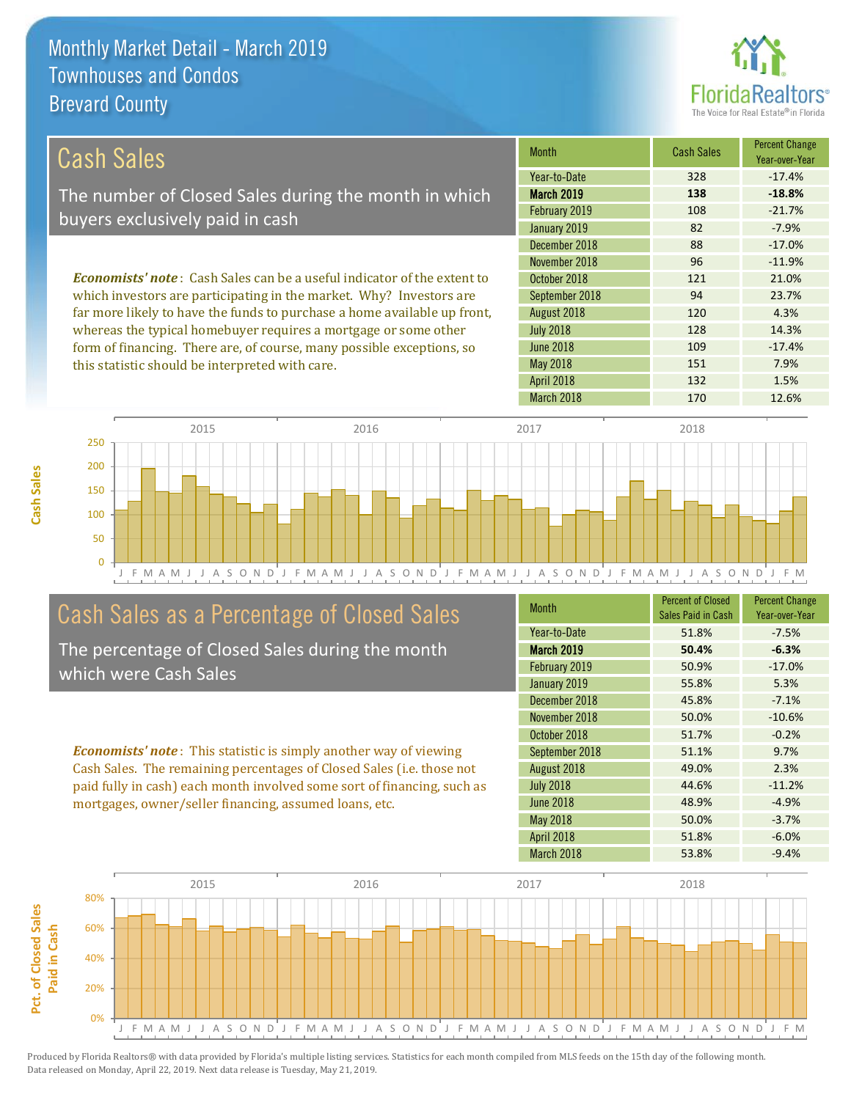this statistic should be interpreted with care.



151 7.9%

| Cash Sales                                                                     | <b>Month</b>      | <b>Cash Sales</b> | <b>Percent Change</b><br>Year-over-Year |
|--------------------------------------------------------------------------------|-------------------|-------------------|-----------------------------------------|
|                                                                                | Year-to-Date      | 328               | $-17.4%$                                |
| The number of Closed Sales during the month in which                           | <b>March 2019</b> | 138               | $-18.8%$                                |
| buyers exclusively paid in cash                                                | February 2019     | 108               | $-21.7%$                                |
|                                                                                | January 2019      | 82                | $-7.9%$                                 |
|                                                                                | December 2018     | 88                | $-17.0%$                                |
|                                                                                | November 2018     | 96                | $-11.9%$                                |
| <b>Economists' note:</b> Cash Sales can be a useful indicator of the extent to | October 2018      | 121               | 21.0%                                   |
| which investors are participating in the market. Why? Investors are            | September 2018    | 94                | 23.7%                                   |
| far more likely to have the funds to purchase a home available up front,       | August 2018       | 120               | 4.3%                                    |
| whereas the typical homebuyer requires a mortgage or some other                | <b>July 2018</b>  | 128               | 14.3%                                   |
| form of financing. There are, of course, many possible exceptions, so          | <b>June 2018</b>  | 109               | $-17.4%$                                |

J F M A M J J A S O N D J F M A M J J A S O N D J F M A M J J A S O N D J F M A M J J A S O N D J F M 0 50 100 150 200 250 2015 2016 2017 2018

### Cash Sales as a Percentage of Closed Sales

The percentage of Closed Sales during the month which were Cash Sales

*Economists' note* : This statistic is simply another way of viewing Cash Sales. The remaining percentages of Closed Sales (i.e. those not paid fully in cash) each month involved some sort of financing, such as mortgages, owner/seller financing, assumed loans, etc.

| <b>Month</b>      | <b>Percent of Closed</b><br>Sales Paid in Cash | <b>Percent Change</b><br>Year-over-Year |
|-------------------|------------------------------------------------|-----------------------------------------|
| Year-to-Date      | 51.8%                                          | $-7.5%$                                 |
| <b>March 2019</b> | 50.4%                                          | $-6.3%$                                 |
| February 2019     | 50.9%                                          | $-17.0%$                                |
| January 2019      | 55.8%                                          | 5.3%                                    |
| December 2018     | 45.8%                                          | $-7.1%$                                 |
| November 2018     | 50.0%                                          | $-10.6%$                                |
| October 2018      | 51.7%                                          | $-0.2%$                                 |
| September 2018    | 51.1%                                          | 9.7%                                    |
| August 2018       | 49.0%                                          | 2.3%                                    |
| <b>July 2018</b>  | 44.6%                                          | $-11.2%$                                |
| <b>June 2018</b>  | 48.9%                                          | $-4.9%$                                 |
| <b>May 2018</b>   | 50.0%                                          | $-3.7%$                                 |
| <b>April 2018</b> | 51.8%                                          | $-6.0%$                                 |
| March 2018        | 53.8%                                          | $-9.4%$                                 |

April 2018 132 1.5%

May 2018

March 2018 170 12.6%



Pct. of Closed Sales **Pct. of Closed Sales**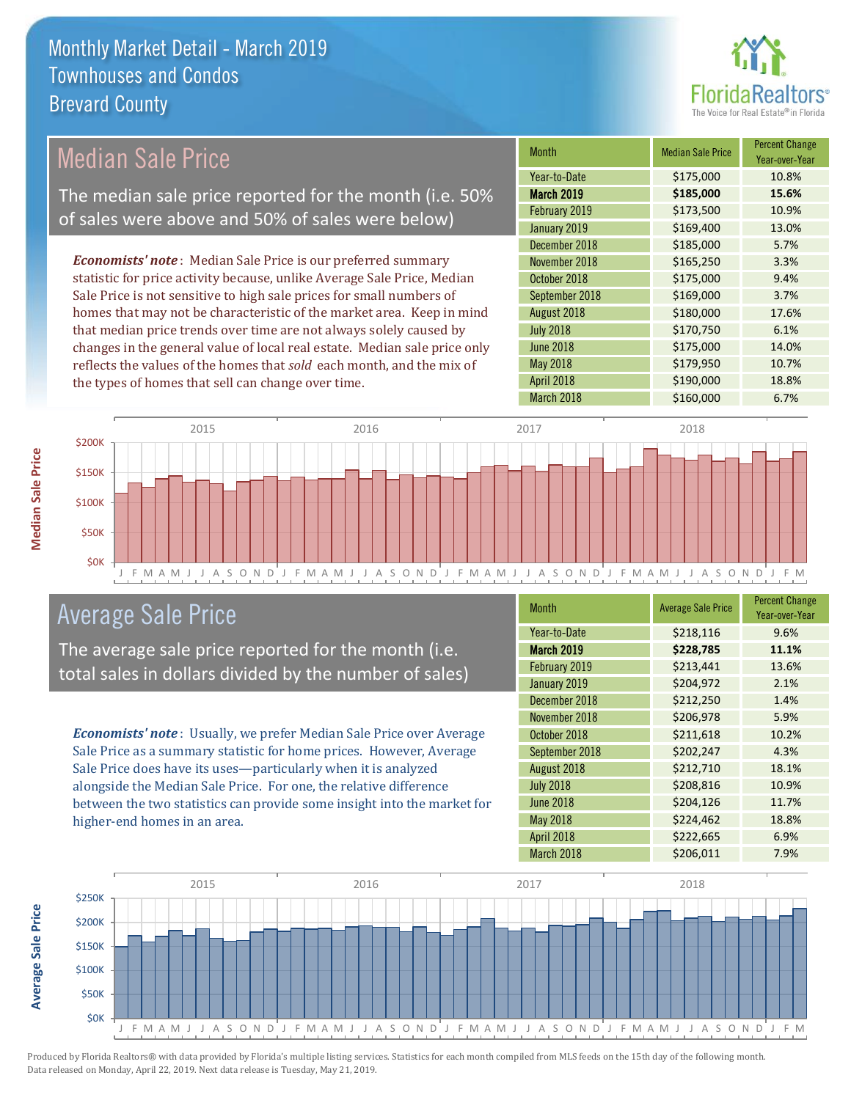

#### *Economists' note* : Median Sale Price is our preferred summary statistic for price activity because, unlike Average Sale Price, Median Sale Price is not sensitive to high sale prices for small numbers of homes that may not be characteristic of the market area. Keep in mind that median price trends over time are not always solely caused by changes in the general value of local real estate. Median sale price only reflects the values of the homes that *sold* each month, and the mix of the types of homes that sell can change over time. March 2018 **\$160,000** \$160,000 6.7% May 2018 **\$179,950** \$179,950 **10.7%** April 2018 **\$190,000** 18.8% July 2018 **\$170,750** 6.1% June 2018 **\$175,000** 14.0% \$185,000 5.7% November 2018 **\$165,250** 3.3% August 2018 **\$180,000** 17.6% February 2019 **\$173,500** 10.9% January 2019 **\$169,400** \$169,400 13.0% October 2018 **\$175,000** 9.4% September 2018 **\$169,000** 3.7% December 2018 Month Median Sale Price Percent Change Year-over-Year March 2019 **\$185,000 15.6%** Year-to-Date \$175,000 10.8% \$200K 2015 2016 2017 2018 Median Sale Price The median sale price reported for the month (i.e. 50% of sales were above and 50% of sales were below)



### Average Sale Price

The average sale price reported for the month (i.e. total sales in dollars divided by the number of sales)

*Economists' note* : Usually, we prefer Median Sale Price over Average Sale Price as a summary statistic for home prices. However, Average Sale Price does have its uses—particularly when it is analyzed alongside the Median Sale Price. For one, the relative difference between the two statistics can provide some insight into the market for higher-end homes in an area.

| Month             | <b>Average Sale Price</b> | <b>Percent Change</b><br>Year-over-Year |
|-------------------|---------------------------|-----------------------------------------|
| Year-to-Date      | \$218,116                 | 9.6%                                    |
| <b>March 2019</b> | \$228,785                 | 11.1%                                   |
| February 2019     | \$213,441                 | 13.6%                                   |
| January 2019      | \$204,972                 | 2.1%                                    |
| December 2018     | \$212,250                 | 1.4%                                    |
| November 2018     | \$206,978                 | 5.9%                                    |
| October 2018      | \$211,618                 | 10.2%                                   |
| September 2018    | \$202,247                 | 4.3%                                    |
| August 2018       | \$212,710                 | 18.1%                                   |
| <b>July 2018</b>  | \$208,816                 | 10.9%                                   |
| <b>June 2018</b>  | \$204,126                 | 11.7%                                   |
| May 2018          | \$224,462                 | 18.8%                                   |
| <b>April 2018</b> | \$222,665                 | 6.9%                                    |
| March 2018        | \$206,011                 | 7.9%                                    |



Produced by Florida Realtors® with data provided by Florida's multiple listing services. Statistics for each month compiled from MLS feeds on the 15th day of the following month. Data released on Monday, April 22, 2019. Next data release is Tuesday, May 21, 2019.

**Average Sale Price**

**Average Sale Price**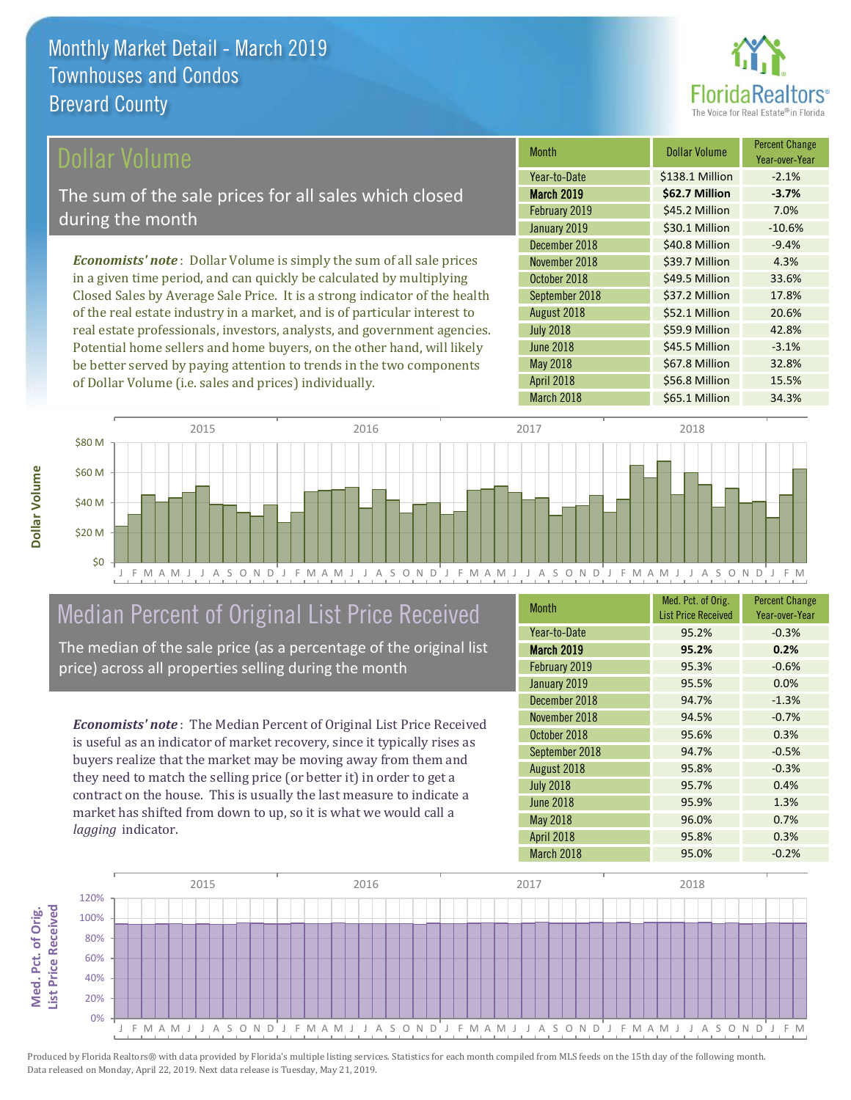

### ollar Volume

The sum of the sale prices for all sales which closed during the month

*Economists' note* : Dollar Volume is simply the sum of all sale prices in a given time period, and can quickly be calculated by multiplying Closed Sales by Average Sale Price. It is a strong indicator of the health of the real estate industry in a market, and is of particular interest to real estate professionals, investors, analysts, and government agencies. Potential home sellers and home buyers, on the other hand, will likely be better served by paying attention to trends in the two components of Dollar Volume (i.e. sales and prices) individually.

| <b>Month</b>     | Dollar Volume   | <b>Percent Change</b><br>Year-over-Year |
|------------------|-----------------|-----------------------------------------|
| Year-to-Date     | \$138.1 Million | $-2.1%$                                 |
| March 2019       | \$62.7 Million  | $-3.7%$                                 |
| February 2019    | \$45.2 Million  | 7.0%                                    |
| January 2019     | \$30.1 Million  | $-10.6%$                                |
| December 2018    | \$40.8 Million  | $-9.4%$                                 |
| November 2018    | \$39.7 Million  | 4.3%                                    |
| October 2018     | \$49.5 Million  | 33.6%                                   |
| September 2018   | \$37.2 Million  | 17.8%                                   |
| August 2018      | \$52.1 Million  | 20.6%                                   |
| <b>July 2018</b> | \$59.9 Million  | 42.8%                                   |
| <b>June 2018</b> | \$45.5 Million  | $-3.1%$                                 |
| May 2018         | \$67.8 Million  | 32.8%                                   |
| April 2018       | \$56.8 Million  | 15.5%                                   |
| March 2018       | \$65.1 Million  | 34.3%                                   |



# Median Percent of Original List Price Received

The median of the sale price (as a percentage of the original list price) across all properties selling during the month

*Economists' note* : The Median Percent of Original List Price Received is useful as an indicator of market recovery, since it typically rises as buyers realize that the market may be moving away from them and they need to match the selling price (or better it) in order to get a contract on the house. This is usually the last measure to indicate a market has shifted from down to up, so it is what we would call a *lagging* indicator.

| <b>Month</b>      | Med. Pct. of Orig.<br><b>List Price Received</b> | <b>Percent Change</b><br>Year-over-Year |
|-------------------|--------------------------------------------------|-----------------------------------------|
| Year-to-Date      | 95.2%                                            | $-0.3%$                                 |
| <b>March 2019</b> | 95.2%                                            | 0.2%                                    |
| February 2019     | 95.3%                                            | $-0.6%$                                 |
| January 2019      | 95.5%                                            | 0.0%                                    |
| December 2018     | 94.7%                                            | $-1.3%$                                 |
| November 2018     | 94.5%                                            | $-0.7%$                                 |
| October 2018      | 95.6%                                            | 0.3%                                    |
| September 2018    | 94.7%                                            | $-0.5%$                                 |
| August 2018       | 95.8%                                            | $-0.3%$                                 |
| <b>July 2018</b>  | 95.7%                                            | 0.4%                                    |
| <b>June 2018</b>  | 95.9%                                            | 1.3%                                    |
| <b>May 2018</b>   | 96.0%                                            | 0.7%                                    |
| April 2018        | 95.8%                                            | 0.3%                                    |
| March 2018        | 95.0%                                            | $-0.2%$                                 |



Produced by Florida Realtors® with data provided by Florida's multiple listing services. Statistics for each month compiled from MLS feeds on the 15th day of the following month. Data released on Monday, April 22, 2019. Next data release is Tuesday, May 21, 2019.

**Med. Pct. of Orig.** 

Med. Pct. of Orig.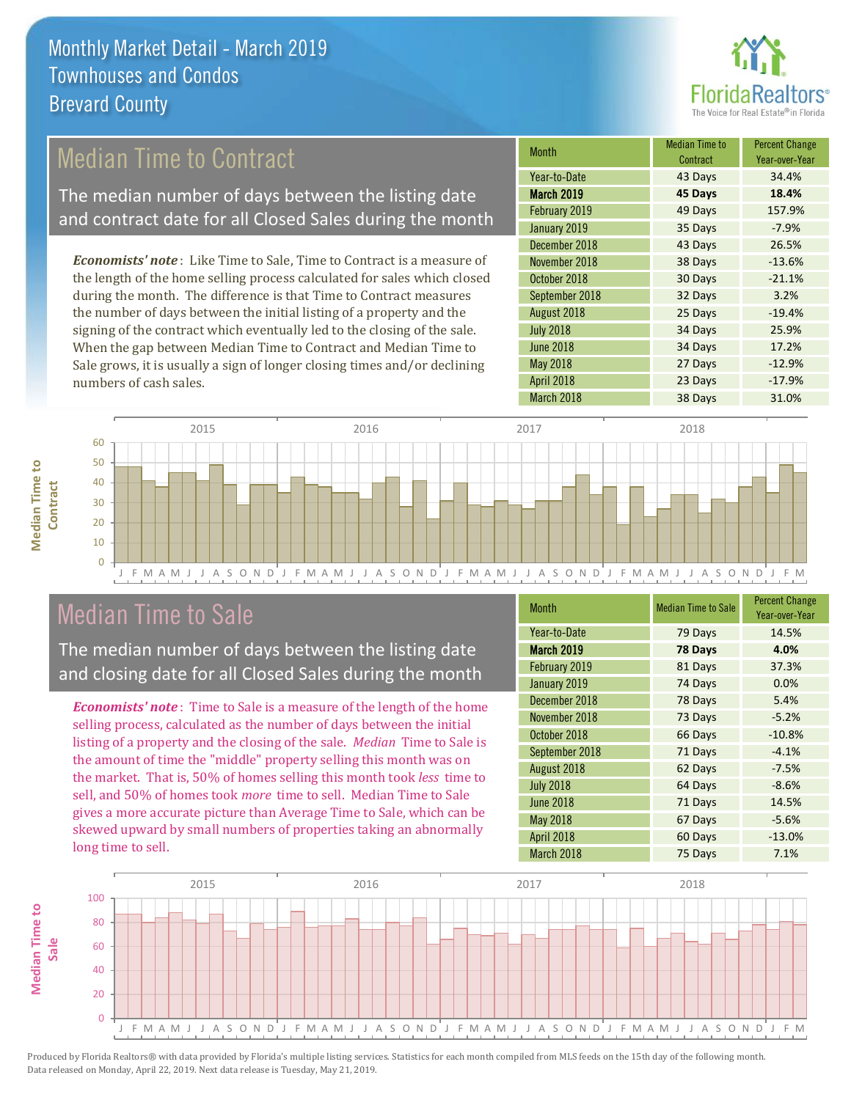

### Median Time to Contract

The median number of days between the listing date and contract date for all Closed Sales during the month

*Economists' note* : Like Time to Sale, Time to Contract is a measure of the length of the home selling process calculated for sales which closed during the month. The difference is that Time to Contract measures the number of days between the initial listing of a property and the signing of the contract which eventually led to the closing of the sale. When the gap between Median Time to Contract and Median Time to Sale grows, it is usually a sign of longer closing times and/or declining numbers of cash sales.

| Month             | Median Time to<br>Contract | <b>Percent Change</b><br>Year-over-Year |
|-------------------|----------------------------|-----------------------------------------|
| Year-to-Date      | 43 Days                    | 34.4%                                   |
| <b>March 2019</b> | 45 Days                    | 18.4%                                   |
| February 2019     | 49 Days                    | 157.9%                                  |
| January 2019      | 35 Days                    | $-7.9%$                                 |
| December 2018     | 43 Days                    | 26.5%                                   |
| November 2018     | 38 Days                    | $-13.6%$                                |
| October 2018      | 30 Days                    | $-21.1%$                                |
| September 2018    | 32 Days                    | 3.2%                                    |
| August 2018       | 25 Days                    | $-19.4%$                                |
| <b>July 2018</b>  | 34 Days                    | 25.9%                                   |
| <b>June 2018</b>  | 34 Days                    | 17.2%                                   |
| May 2018          | 27 Days                    | $-12.9%$                                |
| April 2018        | 23 Days                    | $-17.9%$                                |
| March 2018        | 38 Days                    | 31.0%                                   |



### Median Time to Sale

**Median Time to** 

**Median Time to** 

The median number of days between the listing date and closing date for all Closed Sales during the month

*Economists' note* : Time to Sale is a measure of the length of the home selling process, calculated as the number of days between the initial listing of a property and the closing of the sale. *Median* Time to Sale is the amount of time the "middle" property selling this month was on the market. That is, 50% of homes selling this month took *less* time to sell, and 50% of homes took *more* time to sell. Median Time to Sale gives a more accurate picture than Average Time to Sale, which can be skewed upward by small numbers of properties taking an abnormally long time to sell.

| Month             | <b>Median Time to Sale</b> | <b>Percent Change</b><br>Year-over-Year |
|-------------------|----------------------------|-----------------------------------------|
| Year-to-Date      | 79 Days                    | 14.5%                                   |
| March 2019        | 78 Days                    | 4.0%                                    |
| February 2019     | 81 Days                    | 37.3%                                   |
| January 2019      | 74 Days                    | 0.0%                                    |
| December 2018     | 78 Days                    | 5.4%                                    |
| November 2018     | 73 Days                    | $-5.2%$                                 |
| October 2018      | 66 Days                    | $-10.8%$                                |
| September 2018    | 71 Days                    | $-4.1%$                                 |
| August 2018       | 62 Days                    | $-7.5%$                                 |
| <b>July 2018</b>  | 64 Days                    | $-8.6%$                                 |
| <b>June 2018</b>  | 71 Days                    | 14.5%                                   |
| May 2018          | 67 Days                    | $-5.6%$                                 |
| <b>April 2018</b> | 60 Days                    | $-13.0%$                                |
| March 2018        | 75 Days                    | 7.1%                                    |

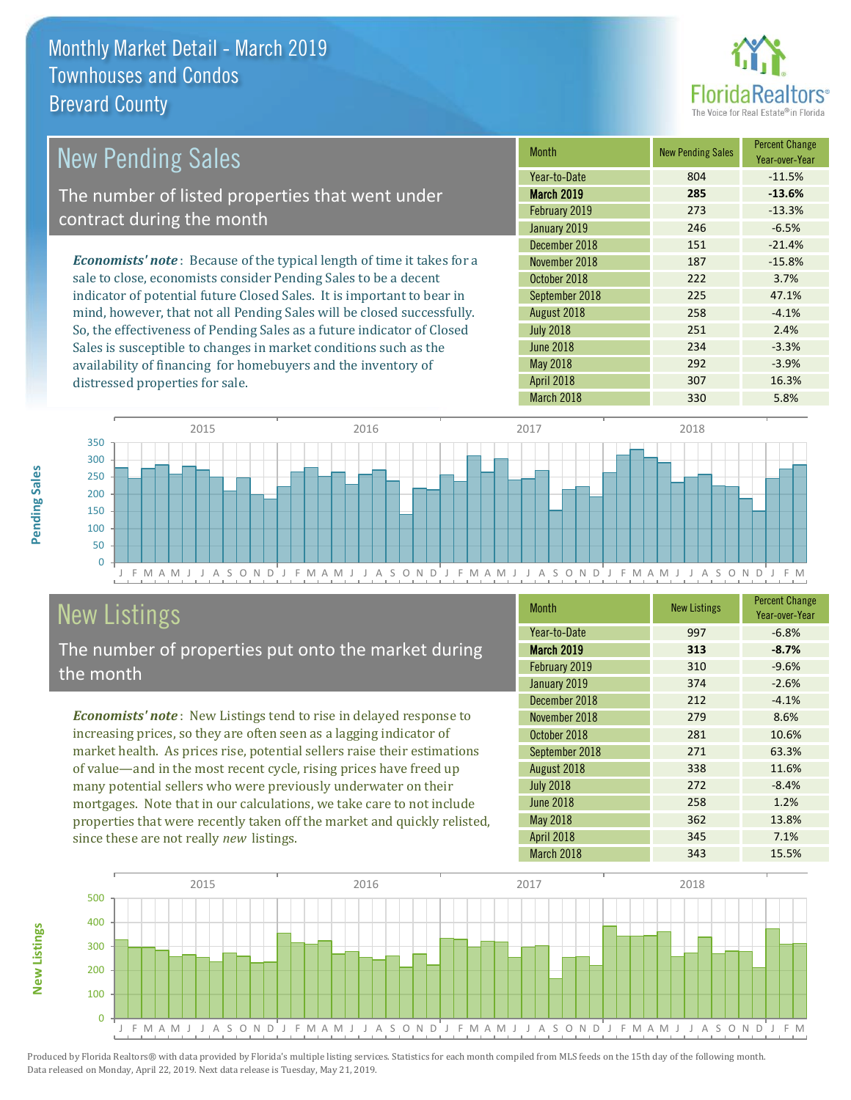

| <b>New Pending Sales</b>                                                       | <b>Month</b>      | <b>New Pending Sales</b> | <b>Percent Change</b><br>Year-over-Year |
|--------------------------------------------------------------------------------|-------------------|--------------------------|-----------------------------------------|
|                                                                                | Year-to-Date      | 804                      | $-11.5%$                                |
| The number of listed properties that went under                                | <b>March 2019</b> | 285                      | $-13.6%$                                |
| contract during the month                                                      | February 2019     | 273                      | $-13.3%$                                |
|                                                                                | January 2019      | 246                      | $-6.5%$                                 |
|                                                                                | December 2018     | 151                      | $-21.4%$                                |
| <b>Economists' note</b> : Because of the typical length of time it takes for a | November 2018     | 187                      | $-15.8%$                                |
| sale to close, economists consider Pending Sales to be a decent                | October 2018      | 222                      | 3.7%                                    |
| indicator of potential future Closed Sales. It is important to bear in         | September 2018    | 225                      | 47.1%                                   |
| mind, however, that not all Pending Sales will be closed successfully.         | August 2018       | 258                      | $-4.1%$                                 |
| So, the effectiveness of Pending Sales as a future indicator of Closed         | <b>July 2018</b>  | 251                      | 2.4%                                    |
| Sales is susceptible to changes in market conditions such as the               | <b>June 2018</b>  | 234                      | $-3.3%$                                 |

J F M A M J J A S O N D J F M A M J J A S O N D J F M A M J J A S O N D J F M A M J J A S O N D J F M  $\Omega$ 50 100 150 200 250 300 350 2015 2016 2017 2018

# New Listings

distressed properties for sale.

The number of properties put onto the market during the month

availability of financing for homebuyers and the inventory of

*Economists' note* : New Listings tend to rise in delayed response to increasing prices, so they are often seen as a lagging indicator of market health. As prices rise, potential sellers raise their estimations of value—and in the most recent cycle, rising prices have freed up many potential sellers who were previously underwater on their mortgages. Note that in our calculations, we take care to not include properties that were recently taken off the market and quickly relisted, since these are not really *new* listings.

| <b>Month</b>     | <b>New Listings</b> | <b>Percent Change</b><br>Year-over-Year |
|------------------|---------------------|-----------------------------------------|
| Year-to-Date     | 997                 | $-6.8%$                                 |
| March 2019       | 313                 | $-8.7%$                                 |
| February 2019    | 310                 | $-9.6%$                                 |
| January 2019     | 374                 | $-2.6%$                                 |
| December 2018    | 212                 | $-4.1%$                                 |
| November 2018    | 279                 | 8.6%                                    |
| October 2018     | 281                 | 10.6%                                   |
| September 2018   | 271                 | 63.3%                                   |
| August 2018      | 338                 | 11.6%                                   |
| <b>July 2018</b> | 272                 | $-8.4%$                                 |
| <b>June 2018</b> | 258                 | 1.2%                                    |
| May 2018         | 362                 | 13.8%                                   |
| April 2018       | 345                 | 7.1%                                    |
| March 2018       | 343                 | 15.5%                                   |

March 2018 330 5.8%

May 2018 **292** -3.9% April 2018 **307** 16.3%



Produced by Florida Realtors® with data provided by Florida's multiple listing services. Statistics for each month compiled from MLS feeds on the 15th day of the following month. Data released on Monday, April 22, 2019. Next data release is Tuesday, May 21, 2019.

**New Listings**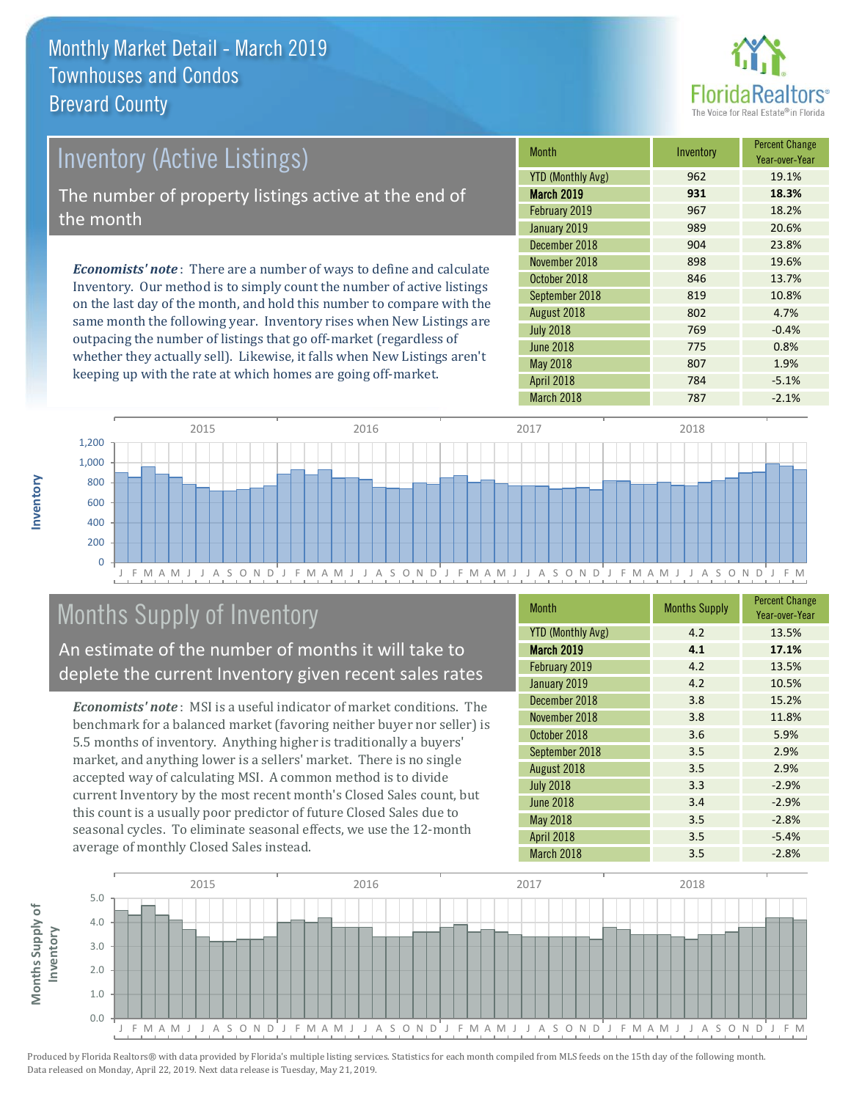

# *Economists' note* : There are a number of ways to define and calculate Inventory (Active Listings) The number of property listings active at the end of the month

Inventory. Our method is to simply count the number of active listings on the last day of the month, and hold this number to compare with the same month the following year. Inventory rises when New Listings are outpacing the number of listings that go off-market (regardless of whether they actually sell). Likewise, it falls when New Listings aren't keeping up with the rate at which homes are going off-market.

| <b>Month</b>             | Inventory | <b>Percent Change</b><br>Year-over-Year |
|--------------------------|-----------|-----------------------------------------|
| <b>YTD (Monthly Avg)</b> | 962       | 19.1%                                   |
| March 2019               | 931       | 18.3%                                   |
| February 2019            | 967       | 18.2%                                   |
| January 2019             | 989       | 20.6%                                   |
| December 2018            | 904       | 23.8%                                   |
| November 2018            | 898       | 19.6%                                   |
| October 2018             | 846       | 13.7%                                   |
| September 2018           | 819       | 10.8%                                   |
| August 2018              | 802       | 4.7%                                    |
| <b>July 2018</b>         | 769       | $-0.4%$                                 |
| <b>June 2018</b>         | 775       | 0.8%                                    |
| <b>May 2018</b>          | 807       | 1.9%                                    |
| April 2018               | 784       | $-5.1%$                                 |
| March 2018               | 787       | $-2.1%$                                 |



# Months Supply of Inventory

An estimate of the number of months it will take to deplete the current Inventory given recent sales rates

*Economists' note* : MSI is a useful indicator of market conditions. The benchmark for a balanced market (favoring neither buyer nor seller) is 5.5 months of inventory. Anything higher is traditionally a buyers' market, and anything lower is a sellers' market. There is no single accepted way of calculating MSI. A common method is to divide current Inventory by the most recent month's Closed Sales count, but this count is a usually poor predictor of future Closed Sales due to seasonal cycles. To eliminate seasonal effects, we use the 12-month average of monthly Closed Sales instead.

| <b>Month</b>             | <b>Months Supply</b> | <b>Percent Change</b><br>Year-over-Year |
|--------------------------|----------------------|-----------------------------------------|
| <b>YTD (Monthly Avg)</b> | 4.2                  | 13.5%                                   |
| <b>March 2019</b>        | 4.1                  | 17.1%                                   |
| February 2019            | 4.2                  | 13.5%                                   |
| January 2019             | 4.2                  | 10.5%                                   |
| December 2018            | 3.8                  | 15.2%                                   |
| November 2018            | 3.8                  | 11.8%                                   |
| October 2018             | 3.6                  | 5.9%                                    |
| September 2018           | 3.5                  | 2.9%                                    |
| August 2018              | 3.5                  | 2.9%                                    |
| <b>July 2018</b>         | 3.3                  | $-2.9%$                                 |
| <b>June 2018</b>         | 3.4                  | $-2.9%$                                 |
| May 2018                 | 3.5                  | $-2.8%$                                 |
| April 2018               | 3.5                  | $-5.4%$                                 |
| March 2018               | 3.5                  | $-2.8%$                                 |

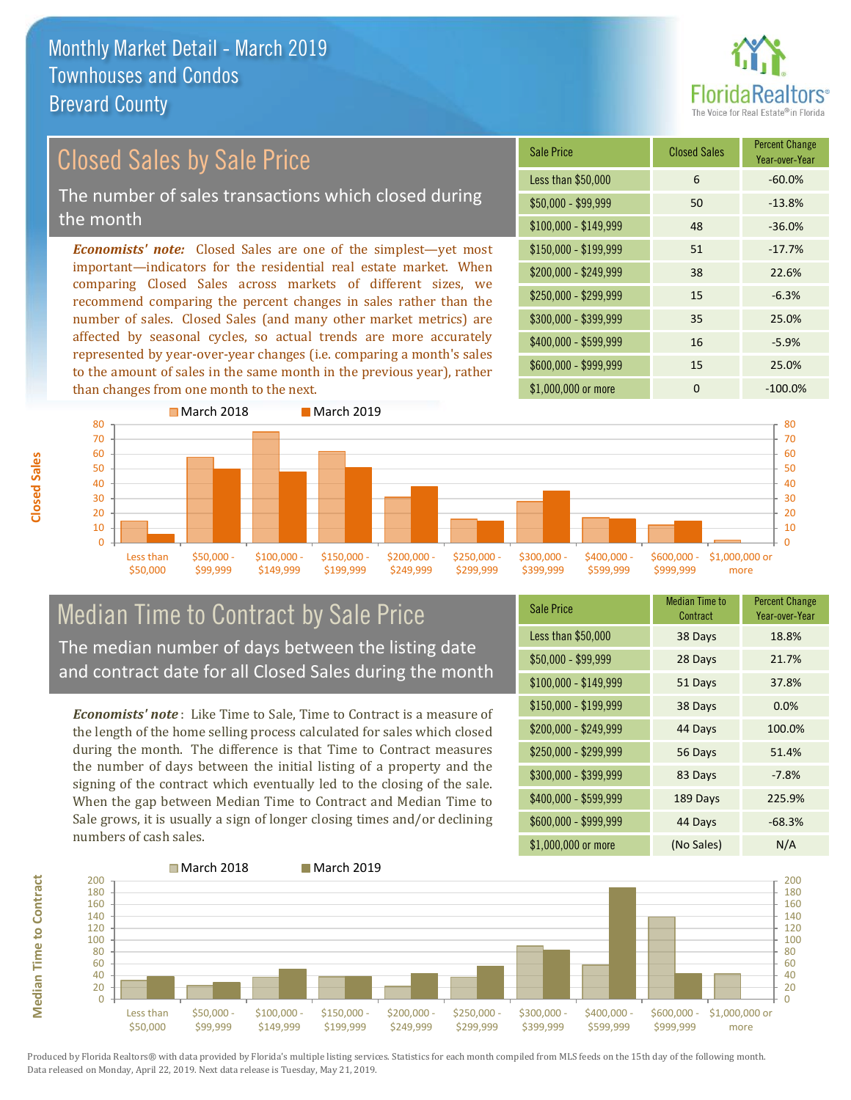

# *Economists' note:* Closed Sales are one of the simplest—yet most Closed Sales by Sale Price The number of sales transactions which closed during the month

important—indicators for the residential real estate market. When comparing Closed Sales across markets of different sizes, we recommend comparing the percent changes in sales rather than the number of sales. Closed Sales (and many other market metrics) are affected by seasonal cycles, so actual trends are more accurately represented by year-over-year changes (i.e. comparing a month's sales to the amount of sales in the same month in the previous year), rather than changes from one month to the next.





### Median Time to Contract by Sale Price The median number of days between the listing date and contract date for all Closed Sales during the month

*Economists' note* : Like Time to Sale, Time to Contract is a measure of the length of the home selling process calculated for sales which closed during the month. The difference is that Time to Contract measures the number of days between the initial listing of a property and the signing of the contract which eventually led to the closing of the sale. When the gap between Median Time to Contract and Median Time to Sale grows, it is usually a sign of longer closing times and/or declining numbers of cash sales.

| <b>Sale Price</b>     | Median Time to<br>Contract | <b>Percent Change</b><br>Year-over-Year |
|-----------------------|----------------------------|-----------------------------------------|
| Less than \$50,000    | 38 Days                    | 18.8%                                   |
| $$50,000 - $99,999$   | 28 Days                    | 21.7%                                   |
| $$100,000 - $149,999$ | 51 Days                    | 37.8%                                   |
| $$150,000 - $199,999$ | 38 Days                    | 0.0%                                    |
| \$200,000 - \$249,999 | 44 Days                    | 100.0%                                  |
| \$250,000 - \$299,999 | 56 Days                    | 51.4%                                   |
| \$300,000 - \$399,999 | 83 Days                    | $-7.8%$                                 |
| \$400,000 - \$599,999 | 189 Days                   | 225.9%                                  |
| \$600,000 - \$999,999 | 44 Days                    | $-68.3%$                                |
| \$1,000,000 or more   | (No Sales)                 | N/A                                     |

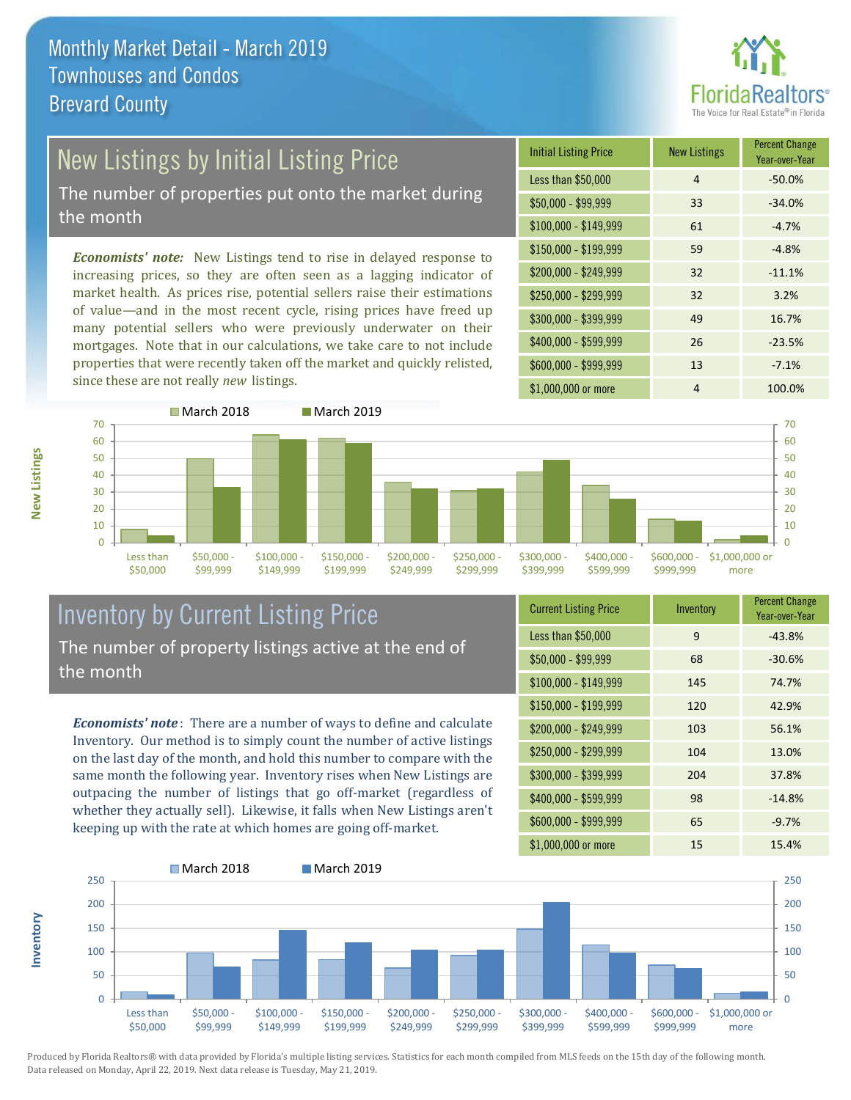

# New Listings by Initial Listing Price

The number of properties put onto the market during the month

*Economists' note:* New Listings tend to rise in delayed response to increasing prices, so they are often seen as a lagging indicator of market health. As prices rise, potential sellers raise their estimations of value—and in the most recent cycle, rising prices have freed up many potential sellers who were previously underwater on their mortgages. Note that in our calculations, we take care to not include properties that were recently taken off the market and quickly relisted, since these are not really *new* listings.





#### Inventory by Current Listing Price The number of property listings active at the end of the month

*Economists' note* : There are a number of ways to define and calculate Inventory. Our method is to simply count the number of active listings on the last day of the month, and hold this number to compare with the same month the following year. Inventory rises when New Listings are outpacing the number of listings that go off-market (regardless of whether they actually sell). Likewise, it falls when New Listings aren't keeping up with the rate at which homes are going off-market.

| <b>Current Listing Price</b> | Inventory | <b>Percent Change</b><br>Year-over-Year |
|------------------------------|-----------|-----------------------------------------|
| Less than \$50,000           | 9         | $-43.8%$                                |
| $$50,000 - $99,999$          | 68        | $-30.6%$                                |
| $$100,000 - $149,999$        | 145       | 74.7%                                   |
| $$150,000 - $199,999$        | 120       | 42.9%                                   |
| \$200,000 - \$249,999        | 103       | 56.1%                                   |
| \$250,000 - \$299,999        | 104       | 13.0%                                   |
| \$300,000 - \$399,999        | 204       | 37.8%                                   |
| \$400,000 - \$599,999        | 98        | $-14.8%$                                |
| \$600,000 - \$999,999        | 65        | $-9.7%$                                 |
| \$1,000,000 or more          | 15        | 15.4%                                   |



Produced by Florida Realtors® with data provided by Florida's multiple listing services. Statistics for each month compiled from MLS feeds on the 15th day of the following month. Data released on Monday, April 22, 2019. Next data release is Tuesday, May 21, 2019.

**Inventory**